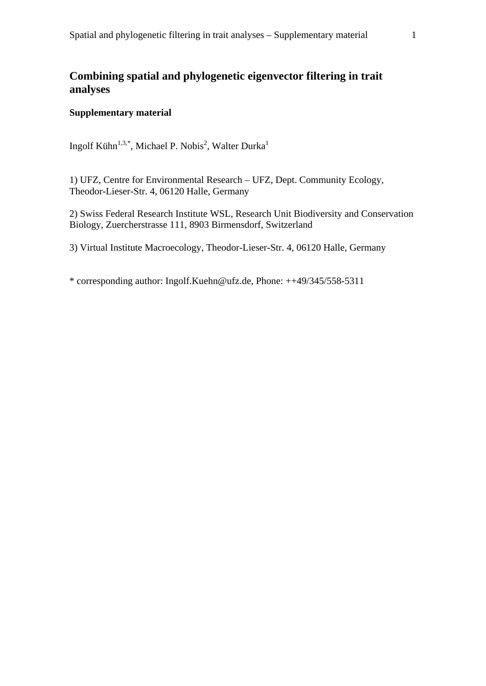## **Combining spatial and phylogenetic eigenvector filtering in trait analyses**

## **Supplementary material**

Ingolf Kühn<sup>1,3,\*</sup>, Michael P. Nobis<sup>2</sup>, Walter Durka<sup>1</sup>

1) UFZ, Centre for Environmental Research – UFZ, Dept. Community Ecology, Theodor-Lieser-Str. 4, 06120 Halle, Germany

2) Swiss Federal Research Institute WSL, Research Unit Biodiversity and Conservation Biology, Zuercherstrasse 111, 8903 Birmensdorf, Switzerland

3) Virtual Institute Macroecology, Theodor-Lieser-Str. 4, 06120 Halle, Germany

\* corresponding author: Ingolf.Kuehn@ufz.de, Phone: ++49/345/558-5311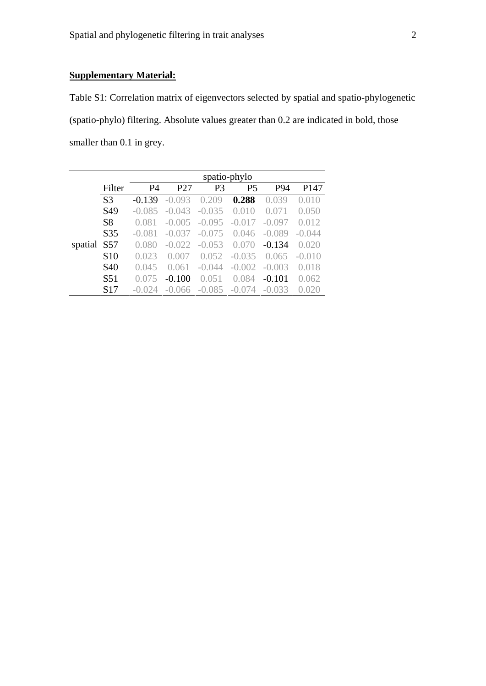## **Supplementary Material:**

Table S1: Correlation matrix of eigenvectors selected by spatial and spatio-phylogenetic (spatio-phylo) filtering. Absolute values greater than 0.2 are indicated in bold, those smaller than 0.1 in grey.

|         |                 | spatio-phylo<br><b>P4</b><br>P <sub>3</sub><br>P <sub>5</sub><br>P <sub>147</sub><br>P27<br>P94 |                 |          |             |          |          |
|---------|-----------------|-------------------------------------------------------------------------------------------------|-----------------|----------|-------------|----------|----------|
|         | Filter          |                                                                                                 |                 |          |             |          |          |
|         | S <sub>3</sub>  | $-0.139$                                                                                        | $-0.093$        | (1.209)  | 0.288       | 0.039    | (0.010)  |
|         | S <sub>49</sub> | $-0.085$                                                                                        | $-0.043$        | $-0.035$ | (1010       | ( ) ( )  | 0.050    |
|         | S <sub>8</sub>  | 0.081                                                                                           | $-0.005$        | $-0.095$ | $-()$ .() 1 | $-0.097$ | 0.012    |
|         | S35             | $-0.081$                                                                                        | $-0.037$        | $-0.075$ | 0.046       | $-0.089$ | $-0.044$ |
| spatial | S <sub>57</sub> | 0.080                                                                                           | $-0.022$        | $-0.053$ | (1170)      | $-0.134$ | 0.020    |
|         | S <sub>10</sub> | 0.023                                                                                           | ( ) ( ) ( ) ( ) | 0.052    | $-0.035$    | 0.065    | $-0.010$ |
|         | S <sub>40</sub> | 0.045                                                                                           | 0.061           | $-0.044$ | $-(1)(0)$   | $-0.003$ | 0.018    |
|         | S <sub>51</sub> | 0.075                                                                                           | $-0.100$        | 0.051    | 0.084       | $-0.101$ | 0.062    |
|         | S <sub>17</sub> |                                                                                                 | 066             | -0.085   | -0.074      | -0.033   |          |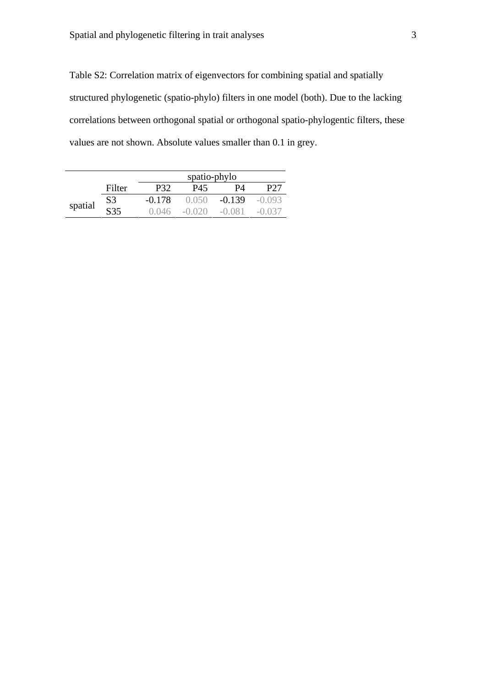Table S2: Correlation matrix of eigenvectors for combining spatial and spatially structured phylogenetic (spatio-phylo) filters in one model (both). Due to the lacking correlations between orthogonal spatial or orthogonal spatio-phylogentic filters, these values are not shown. Absolute values smaller than 0.1 in grey.

|         |        | spatio-phylo |         |          |             |  |  |
|---------|--------|--------------|---------|----------|-------------|--|--|
|         | Filter | P32          | P45     | PЛ       |             |  |  |
| spatial | S3     | $-0.178$     | (1)(56) | $-0.139$ | $-()$ ()93  |  |  |
|         | S35    | (1114)       | ( ) ( ) | (1)(81)  | $-() (137)$ |  |  |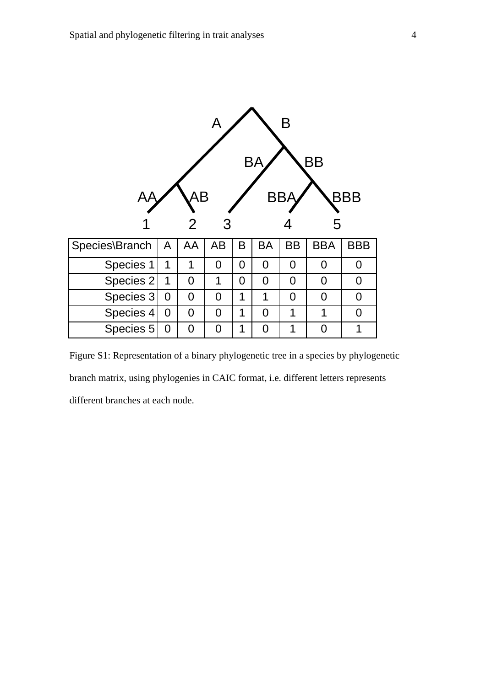|                | Β<br>A<br><b>BB</b><br>Bł |                |                |                |                |                |            |            |
|----------------|---------------------------|----------------|----------------|----------------|----------------|----------------|------------|------------|
|                |                           | AB<br>2        | 3              |                | BB.            |                | 5          | BBB        |
| Species\Branch | A                         | AA             | AB             | B              | <b>BA</b>      | <b>BB</b>      | <b>BBA</b> | <b>BBB</b> |
| Species 1      | 1                         | 1              | 0              | $\overline{0}$ | $\overline{0}$ | $\overline{0}$ | 0          | 0          |
| Species 2      | 1                         | $\overline{0}$ | 1              | 0              | 0              | 0              | 0          | 0          |
| Species 3      | 0                         | $\overline{0}$ | $\overline{0}$ | 1              | 1              | $\Omega$       | 0          | 0          |
| Species 4      | 0                         | 0              | 0              | 1              | 0              | 1              | 1          | 0          |
| Species 5      | 0                         | 0              | $\overline{0}$ | 1              | 0              | $\mathbf 1$    | ∩          | 1          |

Figure S1: Representation of a binary phylogenetic tree in a species by phylogenetic branch matrix, using phylogenies in CAIC format, i.e. different letters represents different branches at each node.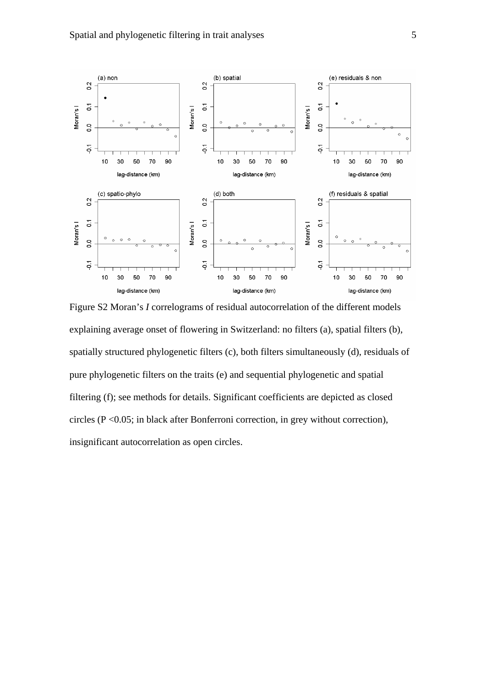

Figure S2 Moran's *I* correlograms of residual autocorrelation of the different models explaining average onset of flowering in Switzerland: no filters (a), spatial filters (b), spatially structured phylogenetic filters (c), both filters simultaneously (d), residuals of pure phylogenetic filters on the traits (e) and sequential phylogenetic and spatial filtering (f); see methods for details. Significant coefficients are depicted as closed circles (P <0.05; in black after Bonferroni correction, in grey without correction), insignificant autocorrelation as open circles.